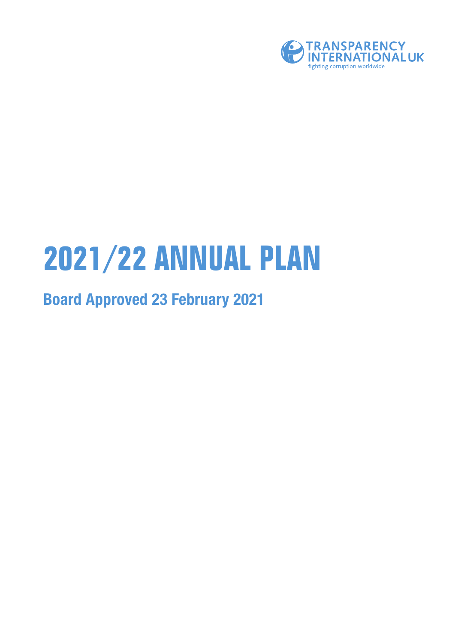

# **2021/22 ANNUAL PLAN**

### **Board Approved 23 February 2021**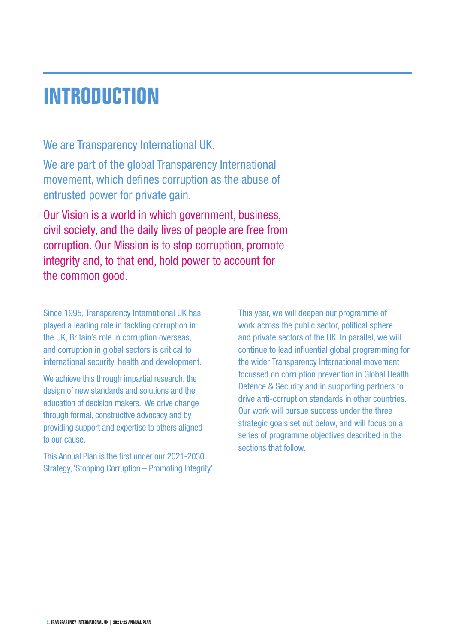### **INTRODUCTION**

We are Transparency International UK.

We are part of the global Transparency International movement, which defines corruption as the abuse of entrusted power for private gain.

Our Vision is a world in which government, business, civil society, and the daily lives of people are free from corruption. Our Mission is to stop corruption, promote integrity and, to that end, hold power to account for the common good.

Since 1995, Transparency International UK has played a leading role in tackling corruption in the UK, Britain's role in corruption overseas, and corruption in global sectors is critical to international security, health and development.

We achieve this through impartial research, the design of new standards and solutions and the education of decision makers. We drive change through formal, constructive advocacy and by providing support and expertise to others aligned to our cause.

This Annual Plan is the first under our 2021-2030 Strategy, 'Stopping Corruption – Promoting Integrity'. This year, we will deepen our programme of work across the public sector, political sphere and private sectors of the UK. In parallel, we will continue to lead influential global programming for the wider Transparency International movement focussed on corruption prevention in Global Health, Defence & Security and in supporting partners to drive anti-corruption standards in other countries. Our work will pursue success under the three strategic goals set out below, and will focus on a series of programme objectives described in the sections that follow.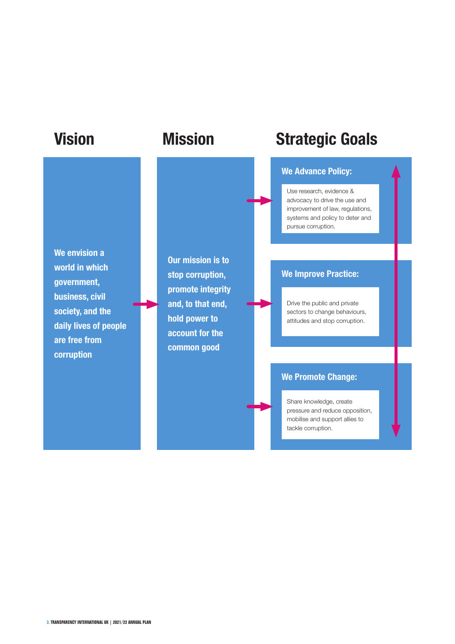**We envision a world in which government, business, civil society, and the daily lives of people are free from corruption**

**Our mission is to stop corruption, promote integrity and, to that end, hold power to account for the common good**

### **Vision Mission Strategic Goals**

#### **We Advance Policy:**

Use research, evidence & advocacy to drive the use and improvement of law, regulations, systems and policy to deter and pursue corruption.

#### **We Improve Practice:**

Drive the public and private sectors to change behaviours, attitudes and stop corruption.

### **We Promote Change:**

Share knowledge, create pressure and reduce opposition, mobilise and support allies to tackle corruption.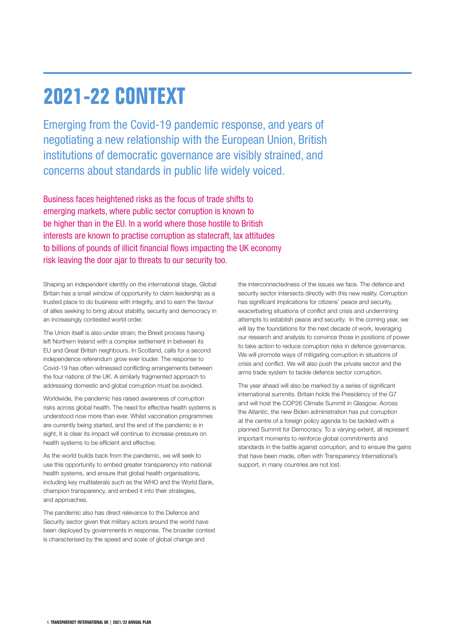### **2021-22 CONTEXT**

Emerging from the Covid-19 pandemic response, and years of negotiating a new relationship with the European Union, British institutions of democratic governance are visibly strained, and concerns about standards in public life widely voiced.

Business faces heightened risks as the focus of trade shifts to emerging markets, where public sector corruption is known to be higher than in the EU. In a world where those hostile to British interests are known to practise corruption as statecraft, lax attitudes to billions of pounds of illicit financial flows impacting the UK economy risk leaving the door ajar to threats to our security too.

Shaping an independent identity on the international stage, Global Britain has a small window of opportunity to claim leadership as a trusted place to do business with integrity, and to earn the favour of allies seeking to bring about stability, security and democracy in an increasingly contested world order.

The Union itself is also under strain; the Brexit process having left Northern Ireland with a complex settlement in between its EU and Great British neighbours. In Scotland, calls for a second independence referendum grow ever louder. The response to Covid-19 has often witnessed conflicting arrangements between the four nations of the UK. A similarly fragmented approach to addressing domestic and global corruption must be avoided.

Worldwide, the pandemic has raised awareness of corruption risks across global health. The need for effective health systems is understood now more than ever. Whilst vaccination programmes are currently being started, and the end of the pandemic is in sight, it is clear its impact will continue to increase pressure on health systems to be efficient and effective.

As the world builds back from the pandemic, we will seek to use this opportunity to embed greater transparency into national health systems, and ensure that global health organisations, including key multilaterals such as the WHO and the World Bank, champion transparency, and embed it into their strategies, and approaches.

The pandemic also has direct relevance to the Defence and Security sector given that military actors around the world have been deployed by governments in response. The broader context is characterised by the speed and scale of global change and

the interconnectedness of the issues we face. The defence and security sector intersects directly with this new reality. Corruption has significant implications for citizens' peace and security, exacerbating situations of conflict and crisis and undermining attempts to establish peace and security. In the coming year, we will lay the foundations for the next decade of work, leveraging our research and analysis to convince those in positions of power to take action to reduce corruption risks in defence governance. We will promote ways of mitigating corruption in situations of crisis and conflict. We will also push the private sector and the arms trade system to tackle defence sector corruption.

The year ahead will also be marked by a series of significant international summits. Britain holds the Presidency of the G7 and will host the COP26 Climate Summit in Glasgow. Across the Atlantic, the new Biden administration has put corruption at the centre of a foreign policy agenda to be tackled with a planned Summit for Democracy. To a varying extent, all represent important moments to reinforce global commitments and standards in the battle against corruption, and to ensure the gains that have been made, often with Transparency International's support, in many countries are not lost.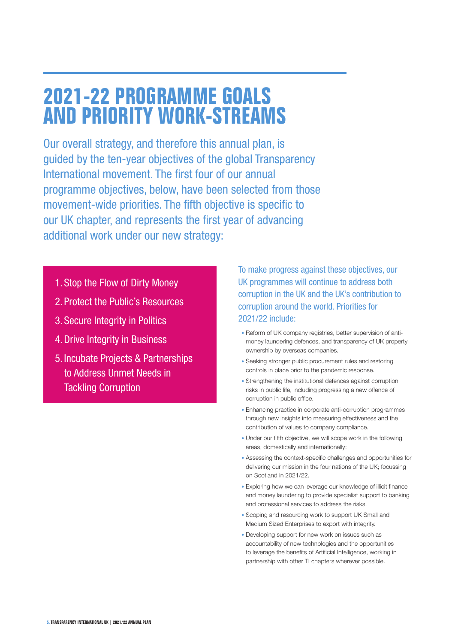### **2021-22 PROGRAMME GOALS AND PRIORITY WORK-STREAMS**

Our overall strategy, and therefore this annual plan, is guided by the ten-year objectives of the global Transparency International movement. The first four of our annual programme objectives, below, have been selected from those movement-wide priorities. The fifth objective is specific to our UK chapter, and represents the first year of advancing additional work under our new strategy:

- 1. Stop the Flow of Dirty Money
- 2. Protect the Public's Resources
- 3. Secure Integrity in Politics
- 4.Drive Integrity in Business
- 5. Incubate Projects & Partnerships to Address Unmet Needs in Tackling Corruption

To make progress against these objectives, our UK programmes will continue to address both corruption in the UK and the UK's contribution to corruption around the world. Priorities for 2021/22 include:

- Reform of UK company registries, better supervision of antimoney laundering defences, and transparency of UK property ownership by overseas companies.
- Seeking stronger public procurement rules and restoring controls in place prior to the pandemic response.
- Strengthening the institutional defences against corruption risks in public life, including progressing a new offence of corruption in public office.
- Enhancing practice in corporate anti-corruption programmes through new insights into measuring effectiveness and the contribution of values to company compliance.
- Under our fifth objective, we will scope work in the following areas, domestically and internationally:
- Assessing the context-specific challenges and opportunities for delivering our mission in the four nations of the UK; focussing on Scotland in 2021/22.
- Exploring how we can leverage our knowledge of illicit finance and money laundering to provide specialist support to banking and professional services to address the risks.
- Scoping and resourcing work to support UK Small and Medium Sized Enterprises to export with integrity.
- Developing support for new work on issues such as accountability of new technologies and the opportunities to leverage the benefits of Artificial Intelligence, working in partnership with other TI chapters wherever possible.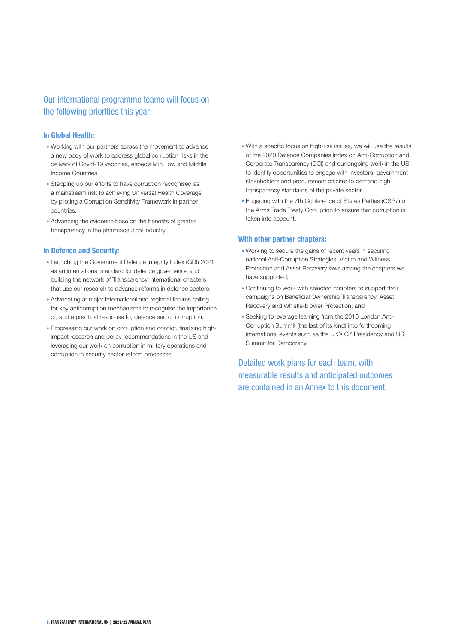### Our international programme teams will focus on the following priorities this year:

#### **In Global Health:**

- Working with our partners across the movement to advance a new body of work to address global corruption risks in the delivery of Covid-19 vaccines, especially in Low and Middle Income Countries.
- Stepping up our efforts to have corruption recognised as a mainstream risk to achieving Universal Health Coverage by piloting a Corruption Sensitivity Framework in partner countries.
- Advancing the evidence base on the benefits of greater transparency in the pharmaceutical industry.

#### **In Defence and Security:**

- Launching the Government Defence Integrity Index (GDI) 2021 as an international standard for defence governance and building the network of Transparency International chapters that use our research to advance reforms in defence sectors;
- Advocating at major international and regional forums calling for key anticorruption mechanisms to recognise the importance of, and a practical response to, defence sector corruption.
- Progressing our work on corruption and conflict, finalising highimpact research and policy recommendations in the US and leveraging our work on corruption in military operations and corruption in security sector reform processes.
- With a specific focus on high-risk issues, we will use the results of the 2020 Defence Companies Index on Anti-Corruption and Corporate Transparency (DCI) and our ongoing work in the US to identify opportunities to engage with investors, government stakeholders and procurement officials to demand high transparency standards of the private sector.
- Engaging with the 7th Conference of States Parties (CSP7) of the Arms Trade Treaty Corruption to ensure that corruption is taken into account.

#### **With other partner chapters:**

- Working to secure the gains of recent years in securing national Anti-Corruption Strategies, Victim and Witness Protection and Asset Recovery laws among the chapters we have supported;
- Continuing to work with selected chapters to support their campaigns on Beneficial Ownership Transparency, Asset Recovery and Whistle-blower Protection; and
- Seeking to leverage learning from the 2016 London Anti-Corruption Summit (the last of its kind) into forthcoming international events such as the UK's G7 Presidency and US Summit for Democracy.

Detailed work plans for each team, with measurable results and anticipated outcomes are contained in an Annex to this document.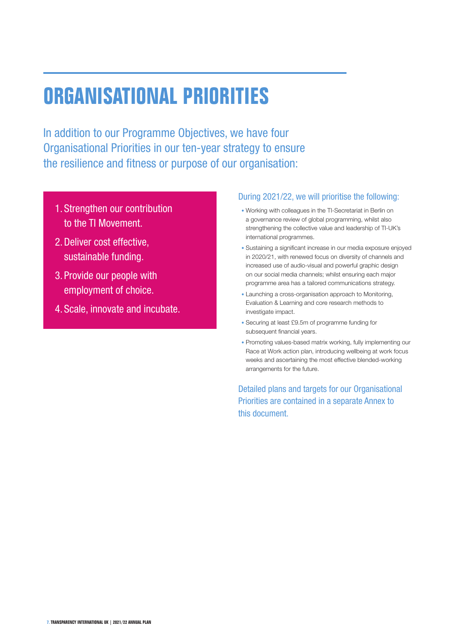## **ORGANISATIONAL PRIORITIES**

In addition to our Programme Objectives, we have four Organisational Priorities in our ten-year strategy to ensure the resilience and fitness or purpose of our organisation:

- 1. Strengthen our contribution to the TI Movement.
- 2.Deliver cost effective, sustainable funding.
- 3. Provide our people with employment of choice.
- 4. Scale, innovate and incubate.

#### During 2021/22, we will prioritise the following:

- Working with colleagues in the TI-Secretariat in Berlin on a governance review of global programming, whilst also strengthening the collective value and leadership of TI-UK's international programmes.
- Sustaining a significant increase in our media exposure enjoyed in 2020/21, with renewed focus on diversity of channels and increased use of audio-visual and powerful graphic design on our social media channels; whilst ensuring each major programme area has a tailored communications strategy.
- Launching a cross-organisation approach to Monitoring, Evaluation & Learning and core research methods to investigate impact.
- Securing at least £9.5m of programme funding for subsequent financial years.
- Promoting values-based matrix working, fully implementing our Race at Work action plan, introducing wellbeing at work focus weeks and ascertaining the most effective blended-working arrangements for the future.

Detailed plans and targets for our Organisational Priorities are contained in a separate Annex to this document.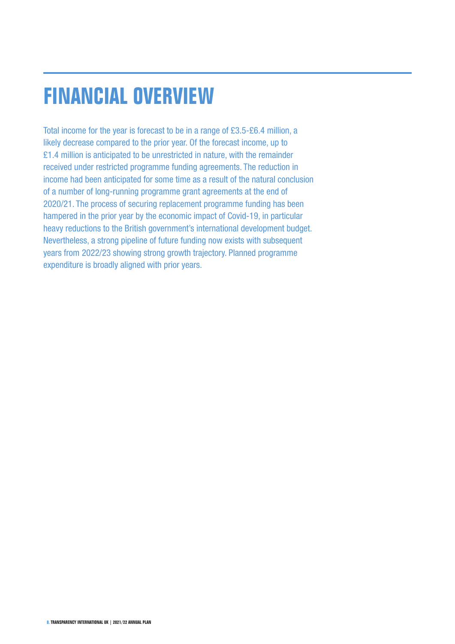# **FINANCIAL OVERVIEW**

Total income for the year is forecast to be in a range of £3.5-£6.4 million, a likely decrease compared to the prior year. Of the forecast income, up to £1.4 million is anticipated to be unrestricted in nature, with the remainder received under restricted programme funding agreements. The reduction in income had been anticipated for some time as a result of the natural conclusion of a number of long-running programme grant agreements at the end of 2020/21. The process of securing replacement programme funding has been hampered in the prior year by the economic impact of Covid-19, in particular heavy reductions to the British government's international development budget. Nevertheless, a strong pipeline of future funding now exists with subsequent years from 2022/23 showing strong growth trajectory. Planned programme expenditure is broadly aligned with prior years.